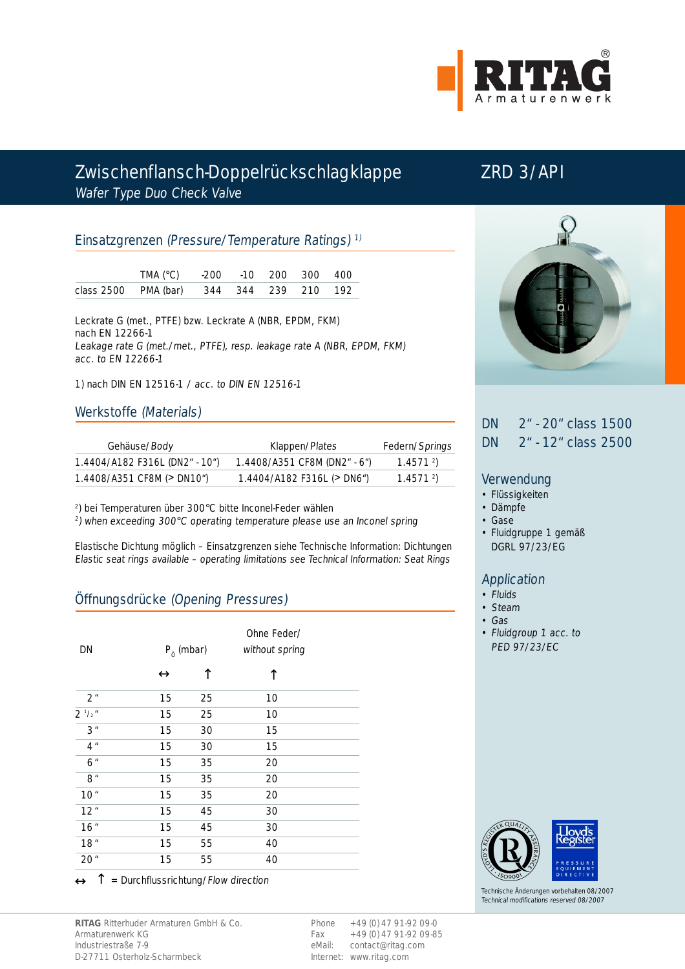

# Zwischenflansch-Doppelrückschlagklappe ZRD 3/API Wafer Type Duo Check Valve

### Einsatzgrenzen (Pressure/Temperature Ratings) 1)

| TMA ( $^{\circ}$ C) $-200$ $-10$ 200 300 400 |  |  |  |
|----------------------------------------------|--|--|--|
| class 2500 PMA (bar) 344 344 239 210 192     |  |  |  |

Leckrate G (met., PTFE) bzw. Leckrate A (NBR, EPDM, FKM) nach EN 12266-1 Leakage rate G (met./met., PTFE), resp. leakage rate A (NBR, EPDM, FKM) acc. to EN 12266-1

1) nach DIN EN 12516-1 / acc. to DIN EN 12516-1

#### Werkstoffe (Materials)

| Gehäuse/Body                                 | Klappen/Plates                               | Federn/Springs          |  |
|----------------------------------------------|----------------------------------------------|-------------------------|--|
| 1.4404/A182 F316L (DN2" - 10")               | $1.4408/A351$ CF8M (DN2" - 6")               | 1.4571 <sup>2</sup>     |  |
| $1.4408/A351$ CF8M ( $>$ DN10 <sup>"</sup> ) | $1.4404/A182$ F316L ( $>$ DN6 <sup>n</sup> ) | $1.4571$ <sup>2</sup> ) |  |

2) bei Temperaturen über 300°C bitte Inconel-Feder wählen

<sup>2</sup>) when exceeding 300°C operating temperature please use an Inconel spring

Elastische Dichtung möglich – Einsatzgrenzen siehe Technische Information: Dichtungen Elastic seat rings available – operating limitations see Technical Information: Seat Rings

## Öffnungsdrücke (Opening Pressures)

| DN              |                  | $P_0$ (mbar)      |    | Ohne Feder/<br>without spring |  |
|-----------------|------------------|-------------------|----|-------------------------------|--|
|                 |                  | $\leftrightarrow$ |    | ↑                             |  |
| 2 <sup>u</sup>  |                  | 15                | 25 | 10                            |  |
| $2^{1/2}$       |                  | 15                | 25 | 10                            |  |
| 3"              |                  | 15                | 30 | 15                            |  |
| $4$ "           |                  | 15                | 30 | 15                            |  |
| 6 <sup>''</sup> |                  | 15                | 35 | 20                            |  |
| 8"              |                  | 15                | 35 | 20                            |  |
| 10 <sup>u</sup> |                  | 15                | 35 | 20                            |  |
| 12"             |                  | 15                | 45 | 30                            |  |
| 16"             |                  | 15                | 45 | 30                            |  |
| 18"             |                  | 15                | 55 | 40                            |  |
| 20 <sup>u</sup> |                  | 15                | 55 | 40                            |  |
| 个               | $\sim$<br>$\sim$ |                   |    | $\cdots$                      |  |

 $\leftrightarrow \uparrow$  = Durchflussrichtung/Flow direction



Phone +49 (0) 47 91-92 09-0 Fax  $+49(0)$  47 91-92 09-85 eMail: contact@ritag.com Internet: www.ritag.com



## DN 2" - 20" class 1500 DN 2" - 12" class 2500

#### Verwendung

- Flüssigkeiten
- Dämpfe
- Gase
- Fluidgruppe 1 gemäß DGRL 97/23/EG

#### Application

- Fluids
- Steam
- Gas
- Fluidgroup 1 acc. to PED 97/23/EC



Technische Änderungen vorbehalten 08/2007 Technical modifications reserved 08/2007